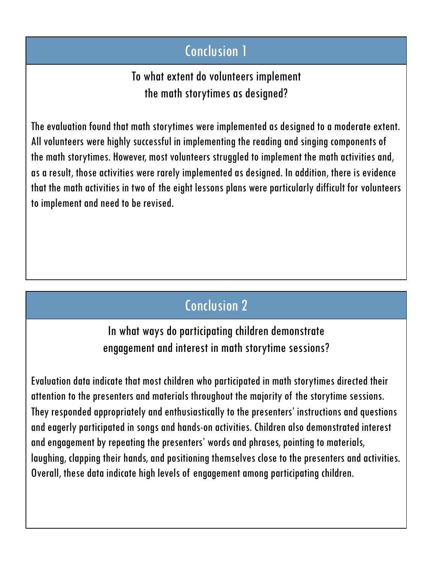## Conclusion 1

To what extent do volunteers implement the math storytimes as designed?

The evaluation found that math storytimes were implemented as designed to a moderate extent. All volunteers were highly successful in implementing the reading and singing components of the math storytimes. However, most volunteers struggled to implement the math activities and, as a result, those activities were rarely implemented as designed. In addition, there is evidence that the math activities in two of the eight lessons plans were particularly difficult for volunteers to implement and need to be revised.

## Conclusion 2

In what ways do participating children demonstrate engagement and interest in math storytime sessions?

Evaluation data indicate that most children who participated in math storytimes directed their attention to the presenters and materials throughout the majority of the storytime sessions. They responded appropriately and enthusiastically to the presenters' instructions and questions and eagerly participated in songs and hands-on activities. Children also demonstrated interest and engagement by repeating the presenters' words and phrases, pointing to materials, laughing, clapping their hands, and positioning themselves close to the presenters and activities. Overall, these data indicate high levels of engagement among participating children.